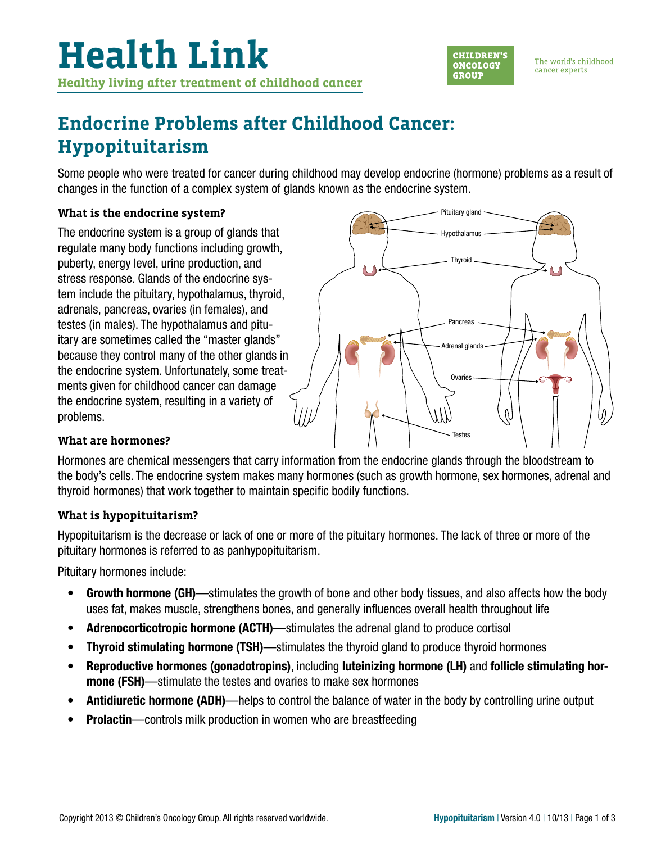

The world's childhood cancer experts

# **Endocrine Problems after Childhood Cancer: Hypopituitarism**

Some people who were treated for cancer during childhood may develop endocrine (hormone) problems as a result of changes in the function of a complex system of glands known as the endocrine system.

# **What is the endocrine system?**

The endocrine system is a group of glands that regulate many body functions including growth, puberty, energy level, urine production, and stress response. Glands of the endocrine system include the pituitary, hypothalamus, thyroid, adrenals, pancreas, ovaries (in females), and testes (in males). The hypothalamus and pituitary are sometimes called the "master glands" because they control many of the other glands in the endocrine system. Unfortunately, some treatments given for childhood cancer can damage the endocrine system, resulting in a variety of problems.



# **What are hormones?**

Hormones are chemical messengers that carry information from the endocrine glands through the bloodstream to the body's cells. The endocrine system makes many hormones (such as growth hormone, sex hormones, adrenal and thyroid hormones) that work together to maintain specific bodily functions.

# **What is hypopituitarism?**

Hypopituitarism is the decrease or lack of one or more of the pituitary hormones. The lack of three or more of the pituitary hormones is referred to as panhypopituitarism.

Pituitary hormones include:

- Growth hormone (GH)—stimulates the growth of bone and other body tissues, and also affects how the body uses fat, makes muscle, strengthens bones, and generally influences overall health throughout life
- Adrenocorticotropic hormone (ACTH)—stimulates the adrenal gland to produce cortisol
- Thyroid stimulating hormone (TSH)—stimulates the thyroid gland to produce thyroid hormones
- Reproductive hormones (gonadotropins), including luteinizing hormone (LH) and follicle stimulating hormone (FSH)—stimulate the testes and ovaries to make sex hormones
- Antidiuretic hormone (ADH)—helps to control the balance of water in the body by controlling urine output
- **Prolactin**—controls milk production in women who are breastfeeding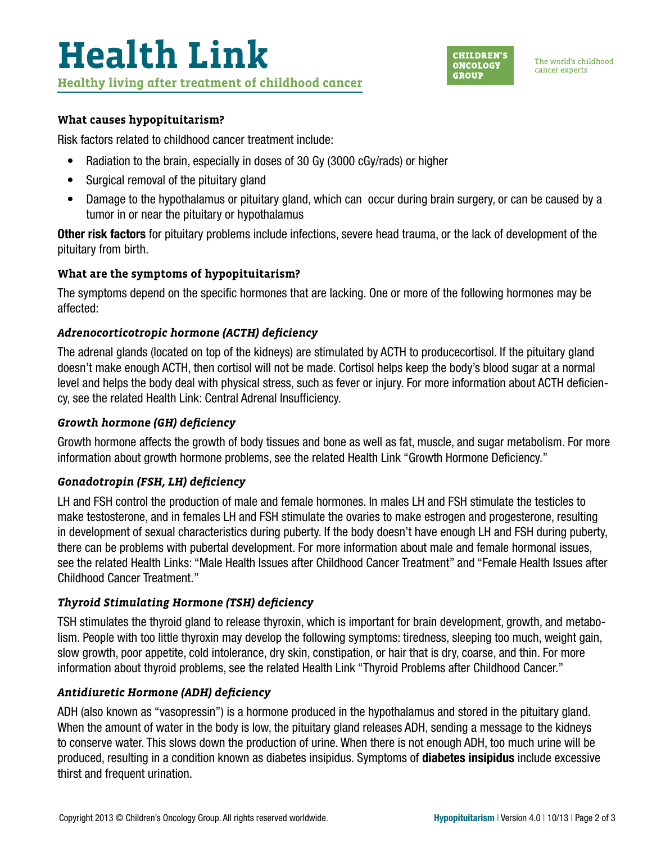

#### **What causes hypopituitarism?**

Risk factors related to childhood cancer treatment include:

- Radiation to the brain, especially in doses of 30 Gy (3000 cGy/rads) or higher
- Surgical removal of the pituitary gland
- Damage to the hypothalamus or pituitary gland, which can occur during brain surgery, or can be caused by a tumor in or near the pituitary or hypothalamus

Other risk factors for pituitary problems include infections, severe head trauma, or the lack of development of the pituitary from birth.

# **What are the symptoms of hypopituitarism?**

The symptoms depend on the specific hormones that are lacking. One or more of the following hormones may be affected:

# *Adrenocorticotropic hormone (ACTH) deficiency*

The adrenal glands (located on top of the kidneys) are stimulated by ACTH to producecortisol. If the pituitary gland doesn't make enough ACTH, then cortisol will not be made. Cortisol helps keep the body's blood sugar at a normal level and helps the body deal with physical stress, such as fever or injury. For more information about ACTH deficiency, see the related Health Link: Central Adrenal Insufficiency.

#### *Growth hormone (GH) deficiency*

Growth hormone affects the growth of body tissues and bone as well as fat, muscle, and sugar metabolism. For more information about growth hormone problems, see the related Health Link "Growth Hormone Deficiency."

# *Gonadotropin (FSH, LH) deficiency*

LH and FSH control the production of male and female hormones. In males LH and FSH stimulate the testicles to make testosterone, and in females LH and FSH stimulate the ovaries to make estrogen and progesterone, resulting in development of sexual characteristics during puberty. If the body doesn't have enough LH and FSH during puberty, there can be problems with pubertal development. For more information about male and female hormonal issues, see the related Health Links: "Male Health Issues after Childhood Cancer Treatment" and "Female Health Issues after Childhood Cancer Treatment."

# *Thyroid Stimulating Hormone (TSH) deficiency*

TSH stimulates the thyroid gland to release thyroxin, which is important for brain development, growth, and metabolism. People with too little thyroxin may develop the following symptoms: tiredness, sleeping too much, weight gain, slow growth, poor appetite, cold intolerance, dry skin, constipation, or hair that is dry, coarse, and thin. For more information about thyroid problems, see the related Health Link "Thyroid Problems after Childhood Cancer."

#### *Antidiuretic Hormone (ADH) deficiency*

ADH (also known as "vasopressin") is a hormone produced in the hypothalamus and stored in the pituitary gland. When the amount of water in the body is low, the pituitary gland releases ADH, sending a message to the kidneys to conserve water. This slows down the production of urine. When there is not enough ADH, too much urine will be produced, resulting in a condition known as diabetes insipidus. Symptoms of diabetes insipidus include excessive thirst and frequent urination.